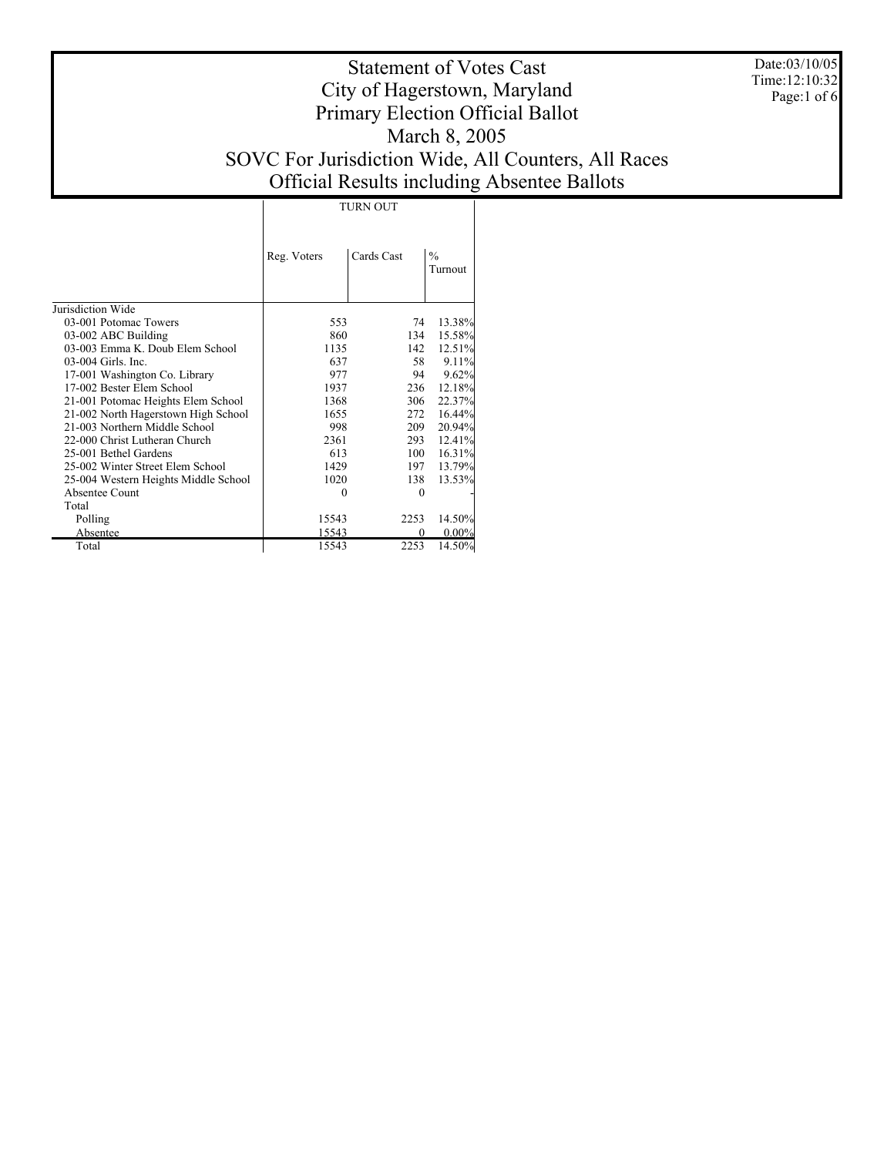Date:03/10/05 Time:12:10:32 Page:1 of 6

# Statement of Votes Cast City of Hagerstown, Maryland Primary Election Official Ballot March 8, 2005 SOVC For Jurisdiction Wide, All Counters, All Races Official Results including Absentee Ballots

TURN OUT

|                                      | Reg. Voters | Cards Cast | $\frac{0}{0}$<br>Turnout |
|--------------------------------------|-------------|------------|--------------------------|
| Jurisdiction Wide                    |             |            |                          |
| 03-001 Potomac Towers                | 553         | 74         | 13.38%                   |
| 03-002 ABC Building                  | 860         | 134        | 15.58%                   |
| 03-003 Emma K. Doub Elem School      | 1135        | 142        | 12.51%                   |
| 03-004 Girls. Inc.                   | 637         | 58         | 9.11%                    |
| 17-001 Washington Co. Library        | 977         | 94         | 9.62%                    |
| 17-002 Bester Elem School            | 1937        | 236        | 12.18%                   |
| 21-001 Potomac Heights Elem School   | 1368        | 306        | 22.37%                   |
| 21-002 North Hagerstown High School  | 1655        | 272        | 16.44%                   |
| 21-003 Northern Middle School        | 998         | 209        | 20.94%                   |
| 22-000 Christ Lutheran Church        | 2361        | 293        | 12.41%                   |
| 25-001 Bethel Gardens                | 613         | 100        | 16.31%                   |
| 25-002 Winter Street Elem School     | 1429        | 197        | 13.79%                   |
| 25-004 Western Heights Middle School | 1020        | 138        | 13.53%                   |
| Absentee Count                       | 0           | 0          |                          |
| Total                                |             |            |                          |
| Polling                              | 15543       | 2253       | 14.50%                   |
| Absentee                             | 15543       | 0          | $0.00\%$                 |
| Total                                | 15543       | 2253       | 14.50%                   |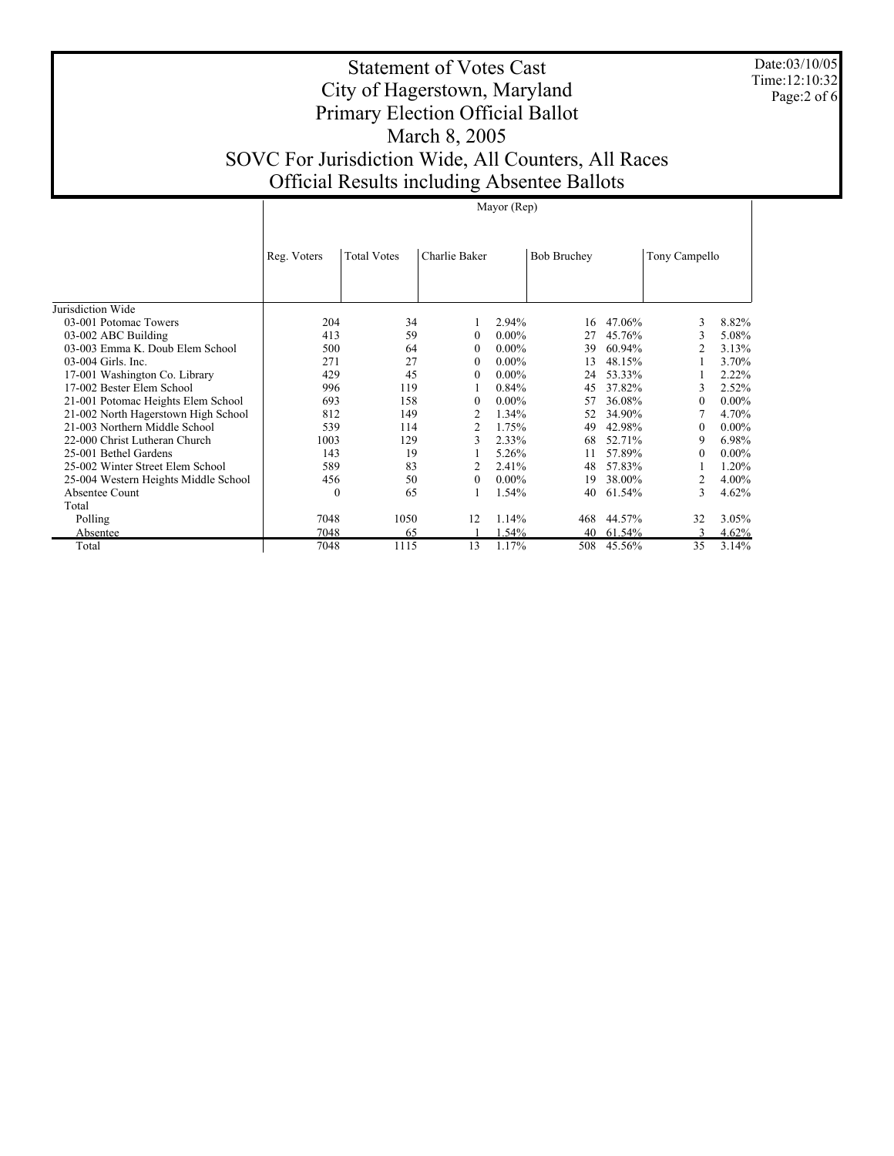Date:03/10/05 Time:12:10:32 Page:2 of 6

 $\mathbf{I}$ 

# Statement of Votes Cast City of Hagerstown, Maryland Primary Election Official Ballot March 8, 2005 SOVC For Jurisdiction Wide, All Counters, All Races Official Results including Absentee Ballots

|                                      | Mayor (Rep)<br><b>Total Votes</b><br>Charlie Baker<br><b>Bob Bruchey</b><br>Reg. Voters<br>Tony Campello<br>204<br>34<br>2.94%<br>47.06%<br>3<br>16<br>413<br>59<br>$0.00\%$<br>45.76%<br>3<br>$\theta$<br>27<br>500<br>$0.00\%$<br>$\overline{2}$<br>64<br>60.94%<br>$\theta$<br>39<br>271<br>27<br>$0.00\%$<br>48.15%<br>13<br>$\theta$<br>429<br>$0.00\%$<br>53.33%<br>45<br>$\theta$<br>24<br>996<br>119<br>37.82%<br>0.84%<br>3<br>45<br>693<br>158<br>$0.00\%$<br>36.08%<br>$\theta$<br>$\theta$<br>57<br>812<br>149<br>$\overline{2}$<br>1.34%<br>34.90%<br>52<br>539<br>2<br>1.75%<br>49<br>42.98%<br>114<br>$\theta$<br>3<br>1003<br>129<br>2.33%<br>68<br>52.71%<br>9<br>143<br>19<br>5.26%<br>57.89%<br>11<br>$\theta$<br>589<br>83<br>$\overline{2}$<br>2.41%<br>57.83%<br>48<br>456<br>50<br>$0.00\%$<br>38.00%<br>2<br>$\mathbf{0}$<br>19<br>1.54%<br>3<br>65<br>40<br>61.54%<br>0<br>7048<br>1050<br>1.14%<br>12<br>44.57%<br>468<br>32 |      |    |       |     |        |    |          |
|--------------------------------------|--------------------------------------------------------------------------------------------------------------------------------------------------------------------------------------------------------------------------------------------------------------------------------------------------------------------------------------------------------------------------------------------------------------------------------------------------------------------------------------------------------------------------------------------------------------------------------------------------------------------------------------------------------------------------------------------------------------------------------------------------------------------------------------------------------------------------------------------------------------------------------------------------------------------------------------------------------|------|----|-------|-----|--------|----|----------|
| Jurisdiction Wide                    |                                                                                                                                                                                                                                                                                                                                                                                                                                                                                                                                                                                                                                                                                                                                                                                                                                                                                                                                                        |      |    |       |     |        |    |          |
| 03-001 Potomac Towers                |                                                                                                                                                                                                                                                                                                                                                                                                                                                                                                                                                                                                                                                                                                                                                                                                                                                                                                                                                        |      |    |       |     |        |    | 8.82%    |
| 03-002 ABC Building                  |                                                                                                                                                                                                                                                                                                                                                                                                                                                                                                                                                                                                                                                                                                                                                                                                                                                                                                                                                        |      |    |       |     |        |    | 5.08%    |
| 03-003 Emma K. Doub Elem School      |                                                                                                                                                                                                                                                                                                                                                                                                                                                                                                                                                                                                                                                                                                                                                                                                                                                                                                                                                        |      |    |       |     |        |    | 3.13%    |
| 03-004 Girls. Inc.                   |                                                                                                                                                                                                                                                                                                                                                                                                                                                                                                                                                                                                                                                                                                                                                                                                                                                                                                                                                        |      |    |       |     |        |    | 3.70%    |
| 17-001 Washington Co. Library        |                                                                                                                                                                                                                                                                                                                                                                                                                                                                                                                                                                                                                                                                                                                                                                                                                                                                                                                                                        |      |    |       |     |        |    | 2.22%    |
| 17-002 Bester Elem School            |                                                                                                                                                                                                                                                                                                                                                                                                                                                                                                                                                                                                                                                                                                                                                                                                                                                                                                                                                        |      |    |       |     |        |    | 2.52%    |
| 21-001 Potomac Heights Elem School   |                                                                                                                                                                                                                                                                                                                                                                                                                                                                                                                                                                                                                                                                                                                                                                                                                                                                                                                                                        |      |    |       |     |        |    | $0.00\%$ |
| 21-002 North Hagerstown High School  |                                                                                                                                                                                                                                                                                                                                                                                                                                                                                                                                                                                                                                                                                                                                                                                                                                                                                                                                                        |      |    |       |     |        |    | 4.70%    |
| 21-003 Northern Middle School        |                                                                                                                                                                                                                                                                                                                                                                                                                                                                                                                                                                                                                                                                                                                                                                                                                                                                                                                                                        |      |    |       |     |        |    | $0.00\%$ |
| 22-000 Christ Lutheran Church        |                                                                                                                                                                                                                                                                                                                                                                                                                                                                                                                                                                                                                                                                                                                                                                                                                                                                                                                                                        |      |    |       |     |        |    | 6.98%    |
| 25-001 Bethel Gardens                |                                                                                                                                                                                                                                                                                                                                                                                                                                                                                                                                                                                                                                                                                                                                                                                                                                                                                                                                                        |      |    |       |     |        |    | $0.00\%$ |
| 25-002 Winter Street Elem School     |                                                                                                                                                                                                                                                                                                                                                                                                                                                                                                                                                                                                                                                                                                                                                                                                                                                                                                                                                        |      |    |       |     |        |    | 1.20%    |
| 25-004 Western Heights Middle School |                                                                                                                                                                                                                                                                                                                                                                                                                                                                                                                                                                                                                                                                                                                                                                                                                                                                                                                                                        |      |    |       |     |        |    | 4.00%    |
| Absentee Count                       |                                                                                                                                                                                                                                                                                                                                                                                                                                                                                                                                                                                                                                                                                                                                                                                                                                                                                                                                                        |      |    |       |     |        |    | 4.62%    |
| Total                                |                                                                                                                                                                                                                                                                                                                                                                                                                                                                                                                                                                                                                                                                                                                                                                                                                                                                                                                                                        |      |    |       |     |        |    |          |
| Polling                              |                                                                                                                                                                                                                                                                                                                                                                                                                                                                                                                                                                                                                                                                                                                                                                                                                                                                                                                                                        |      |    |       |     |        |    | 3.05%    |
| Absentee                             | 7048                                                                                                                                                                                                                                                                                                                                                                                                                                                                                                                                                                                                                                                                                                                                                                                                                                                                                                                                                   | 65   |    | 1.54% | 40  | 61.54% | 3  | 4.62%    |
| Total                                | 7048                                                                                                                                                                                                                                                                                                                                                                                                                                                                                                                                                                                                                                                                                                                                                                                                                                                                                                                                                   | 1115 | 13 | 1.17% | 508 | 45.56% | 35 | 3.14%    |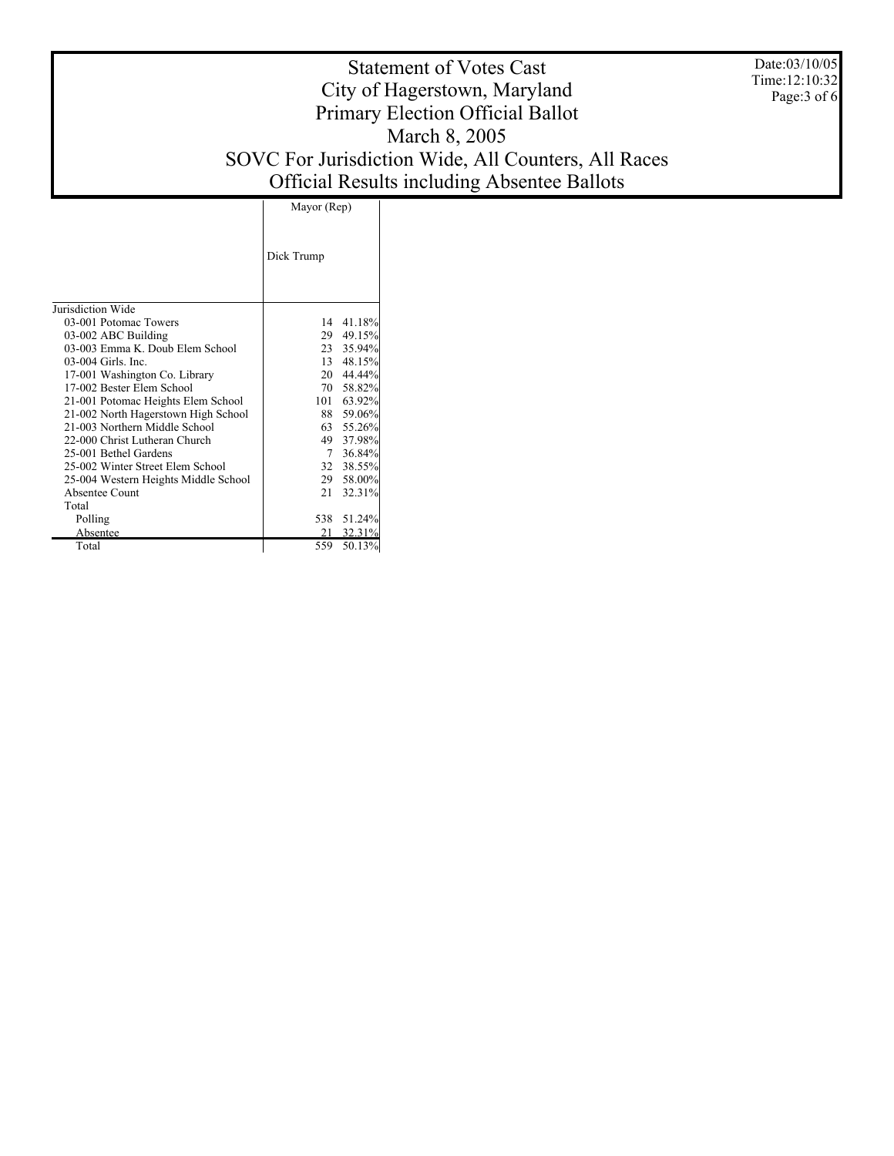Date:03/10/05 Time:12:10:32 Page:3 of 6

# Statement of Votes Cast City of Hagerstown, Maryland Primary Election Official Ballot March 8, 2005 SOVC For Jurisdiction Wide, All Counters, All Races Official Results including Absentee Ballots

|                                      | Mayor (Rep) |            |
|--------------------------------------|-------------|------------|
|                                      | Dick Trump  |            |
| Jurisdiction Wide                    |             |            |
| 03-001 Potomac Towers                |             | 14 41.18%  |
| 03-002 ABC Building                  | 29          | 49.15%     |
| 03-003 Emma K. Doub Elem School      |             | 23 35.94%  |
| 03-004 Girls. Inc.                   |             | 13 48.15%  |
| 17-001 Washington Co. Library        |             | 20 44.44%  |
| 17-002 Bester Elem School            |             | 70 58.82%  |
| 21-001 Potomac Heights Elem School   |             | 101 63.92% |
| 21-002 North Hagerstown High School  |             | 88 59.06%  |
| 21-003 Northern Middle School        |             | 63 55.26%  |
| 22-000 Christ Lutheran Church        |             | 49 37.98%  |
| 25-001 Bethel Gardens                | $7^{\circ}$ | 36.84%     |
| 25-002 Winter Street Elem School     |             | 32 38.55%  |
| 25-004 Western Heights Middle School |             | 29 58.00%  |
| Absentee Count                       | 21          | 32.31%     |
| Total                                |             |            |
| Polling                              |             | 538 51.24% |
| Absentee                             | 21          | 32.31%     |
| Total                                | 559         | 50.13%     |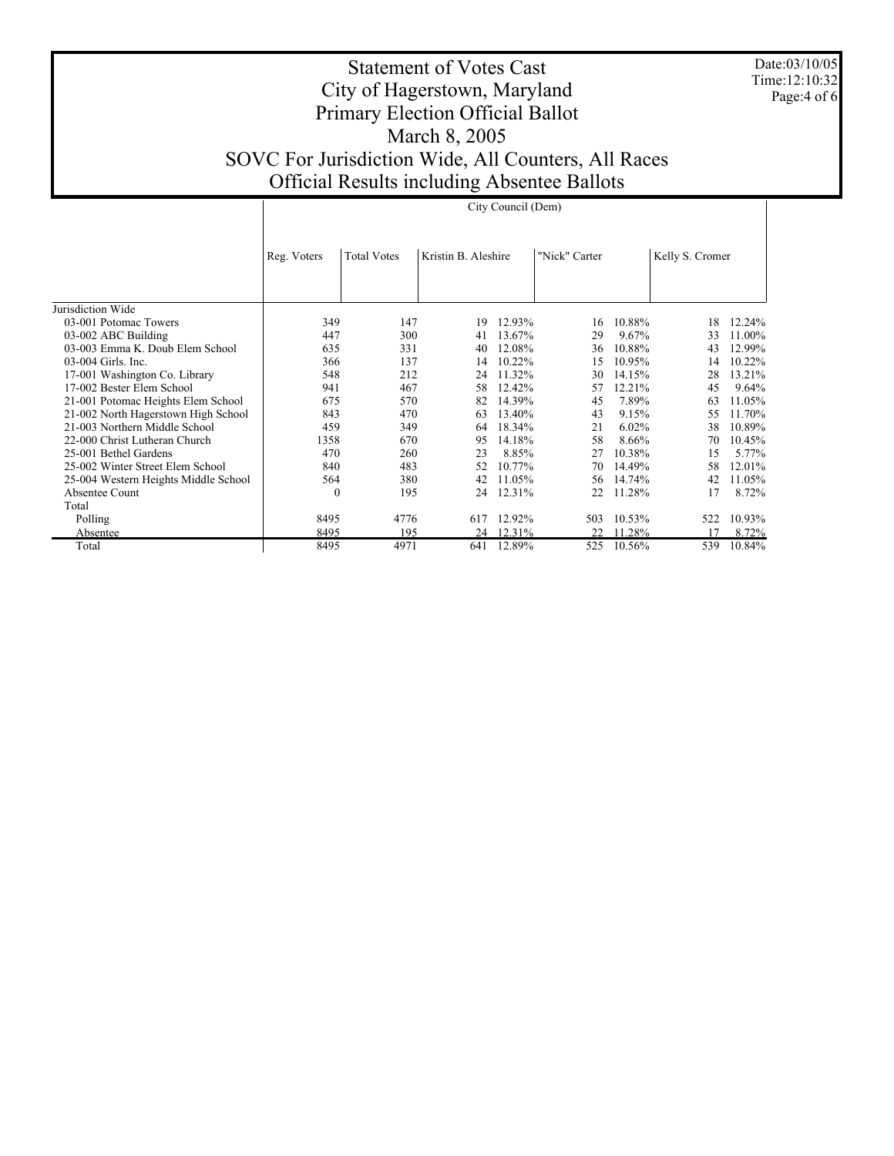Date:03/10/05 Time:12:10:32 Page:4 of 6

# Statement of Votes Cast City of Hagerstown, Maryland Primary Election Official Ballot March 8, 2005 SOVC For Jurisdiction Wide, All Counters, All Races Official Results including Absentee Ballots

|                                      |             |                    |                     | City Council (Dem) |               |        |                 |        |
|--------------------------------------|-------------|--------------------|---------------------|--------------------|---------------|--------|-----------------|--------|
|                                      | Reg. Voters | <b>Total Votes</b> | Kristin B. Aleshire |                    | "Nick" Carter |        | Kelly S. Cromer |        |
| Jurisdiction Wide                    |             |                    |                     |                    |               |        |                 |        |
| 03-001 Potomac Towers                | 349         | 147                | 19                  | 12.93%             | 16            | 10.88% | 18              | 12.24% |
| 03-002 ABC Building                  | 447         | 300                | 41                  | 13.67%             | 29            | 9.67%  | 33              | 11.00% |
| 03-003 Emma K. Doub Elem School      | 635         | 331                | 40                  | 12.08%             | 36            | 10.88% | 43              | 12.99% |
| 03-004 Girls. Inc.                   | 366         | 137                | 14                  | 10.22%             | 15            | 10.95% | 14              | 10.22% |
| 17-001 Washington Co. Library        | 548         | 212                | 24                  | 11.32%             | 30            | 14.15% | 28              | 13.21% |
| 17-002 Bester Elem School            | 941         | 467                | 58                  | 12.42%             | 57            | 12.21% | 45              | 9.64%  |
| 21-001 Potomac Heights Elem School   | 675         | 570                | 82                  | 14.39%             | 45            | 7.89%  | 63              | 11.05% |
| 21-002 North Hagerstown High School  | 843         | 470                | 63                  | 13.40%             | 43            | 9.15%  | 55              | 11.70% |
| 21-003 Northern Middle School        | 459         | 349                | 64                  | 18.34%             | 21            | 6.02%  | 38              | 10.89% |
| 22-000 Christ Lutheran Church        | 1358        | 670                | 95                  | 14.18%             | 58            | 8.66%  | 70              | 10.45% |
| 25-001 Bethel Gardens                | 470         | 260                | 23                  | 8.85%              | 27            | 10.38% | 15              | 5.77%  |
| 25-002 Winter Street Elem School     | 840         | 483                | 52                  | 10.77%             | 70            | 14.49% | 58              | 12.01% |
| 25-004 Western Heights Middle School | 564         | 380                | 42                  | 11.05%             | 56            | 14.74% | 42              | 11.05% |
| Absentee Count                       | $\theta$    | 195                | 24                  | 12.31%             | 22            | 11.28% | 17              | 8.72%  |
| Total                                |             |                    |                     |                    |               |        |                 |        |
| Polling                              | 8495        | 4776               | 617                 | 12.92%             | 503           | 10.53% | 522             | 10.93% |
| Absentee                             | 8495        | 195                |                     | 24 12.31%          |               | 11.28% | 17              | 8.72%  |
| Total                                | 8495        | 4971               | 641                 | 12.89%             | 525           | 10.56% | 539             | 10.84% |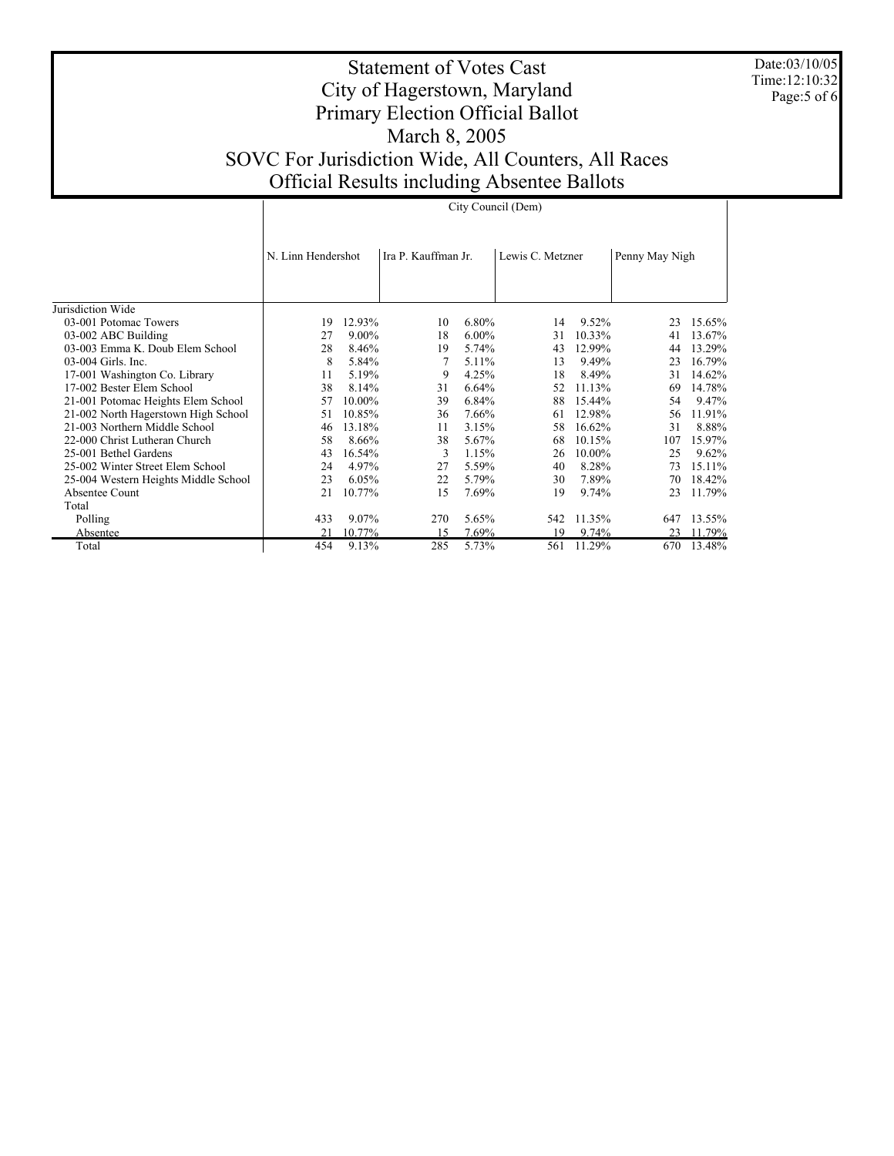Date:03/10/05 Time:12:10:32 Page:5 of 6

# Statement of Votes Cast City of Hagerstown, Maryland Primary Election Official Ballot March 8, 2005 SOVC For Jurisdiction Wide, All Counters, All Races Official Results including Absentee Ballots

|                                      |                    |        |                     |          | City Council (Dem) |        |                |        |
|--------------------------------------|--------------------|--------|---------------------|----------|--------------------|--------|----------------|--------|
|                                      | N. Linn Hendershot |        | Ira P. Kauffman Jr. |          | Lewis C. Metzner   |        | Penny May Nigh |        |
| Jurisdiction Wide                    |                    |        |                     |          |                    |        |                |        |
| 03-001 Potomac Towers                | 19                 | 12.93% | 10                  | 6.80%    | 14                 | 9.52%  | 23             | 15.65% |
| 03-002 ABC Building                  | 27                 | 9.00%  | 18                  | $6.00\%$ | 31                 | 10.33% | 41             | 13.67% |
| 03-003 Emma K. Doub Elem School      | 28                 | 8.46%  | 19                  | 5.74%    | 43                 | 12.99% | 44             | 13.29% |
| 03-004 Girls. Inc.                   | 8                  | 5.84%  |                     | 5.11%    | 13                 | 9.49%  | 23             | 16.79% |
| 17-001 Washington Co. Library        | 11                 | 5.19%  | 9                   | 4.25%    | 18                 | 8.49%  | 31             | 14.62% |
| 17-002 Bester Elem School            | 38                 | 8.14%  | 31                  | 6.64%    | 52                 | 11.13% | 69             | 14.78% |
| 21-001 Potomac Heights Elem School   | 57                 | 10.00% | 39                  | 6.84%    | 88                 | 15.44% | 54             | 9.47%  |
| 21-002 North Hagerstown High School  | 51                 | 10.85% | 36                  | 7.66%    | 61                 | 12.98% | 56             | 11.91% |
| 21-003 Northern Middle School        | 46                 | 13.18% | 11                  | 3.15%    | 58                 | 16.62% | 31             | 8.88%  |
| 22-000 Christ Lutheran Church        | 58                 | 8.66%  | 38                  | 5.67%    | 68                 | 10.15% | 107            | 15.97% |
| 25-001 Bethel Gardens                | 43                 | 16.54% | 3                   | 1.15%    | 26                 | 10.00% | 25             | 9.62%  |
| 25-002 Winter Street Elem School     | 24                 | 4.97%  | 27                  | 5.59%    | 40                 | 8.28%  | 73             | 15.11% |
| 25-004 Western Heights Middle School | 23                 | 6.05%  | 22                  | 5.79%    | 30                 | 7.89%  | 70             | 18.42% |
| Absentee Count                       | 21                 | 10.77% | 15                  | 7.69%    | 19                 | 9.74%  | 23             | 11.79% |
| Total                                |                    |        |                     |          |                    |        |                |        |
| Polling                              | 433                | 9.07%  | 270                 | 5.65%    | 542                | 11.35% | 647            | 13.55% |
| Absentee                             | 21                 | 10.77% | 15                  | 7.69%    | 19                 | 9.74%  | 23             | 11.79% |
| Total                                | 454                | 9.13%  | 285                 | 5.73%    | 561                | 11.29% | 670            | 13.48% |